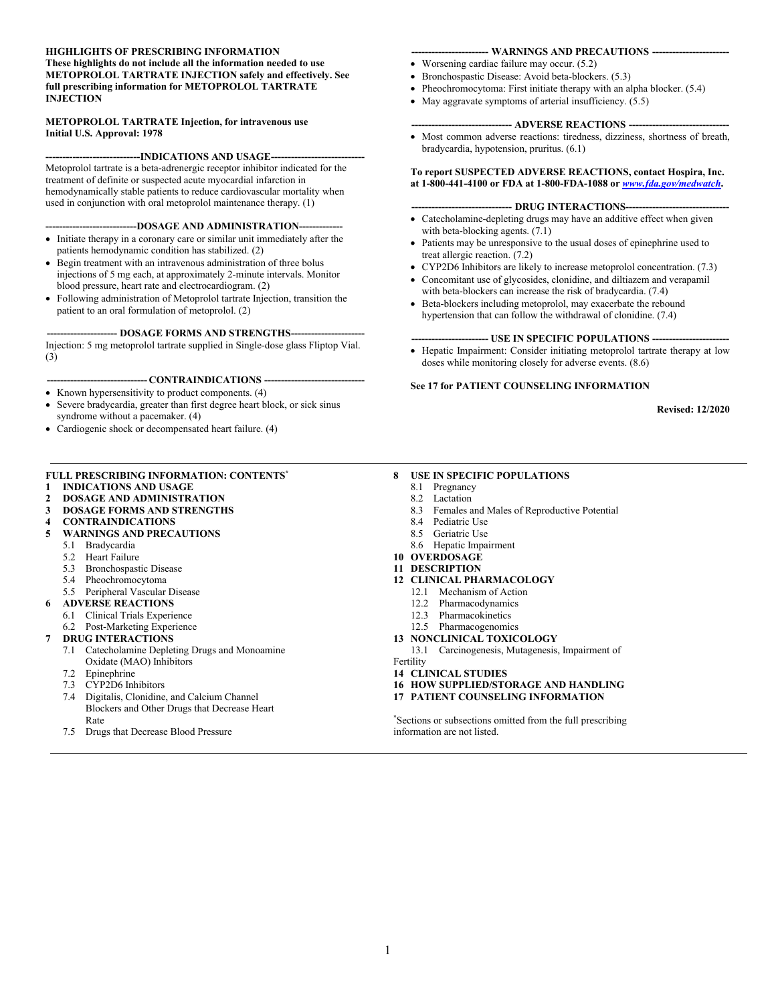#### **HIGHLIGHTS OF PRESCRIBING INFORMATION These highlights do not include all the information needed to use METOPROLOL TARTRATE INJECTION safely and effectively. See full prescribing information for METOPROLOL TARTRATE INJECTION**

#### **METOPROLOL TARTRATE Injection, for intravenous use Initial U.S. Approval: 1978**

#### ----INDICATIONS AND USAGE----

Metoprolol tartrate is a beta-adrenergic receptor inhibitor indicated for the treatment of definite or suspected acute myocardial infarction in hemodynamically stable patients to reduce cardiovascular mortality when used in conjunction with oral metoprolol maintenance therapy. (1)

#### **---------------------------DOSAGE AND ADMINISTRATION-------------**

- Initiate therapy in a coronary care or similar unit immediately after the patients hemodynamic condition has stabilized. (2)
- Begin treatment with an intravenous administration of three bolus injections of 5 mg each, at approximately 2-minute intervals. Monitor blood pressure, heart rate and electrocardiogram. (2)
- Following administration of Metoprolol tartrate Injection, transition the patient to an oral formulation of metoprolol. (2)

#### **--------------------- DOSAGE FORMS AND STRENGTHS----------------------**

Injection: 5 mg metoprolol tartrate supplied in Single-dose glass Fliptop Vial. (3)

#### **------------------------------ CONTRAINDICATIONS ------------------------------**

- Known hypersensitivity to product components. (4)
- Severe bradycardia, greater than first degree heart block, or sick sinus syndrome without a pacemaker. (4)
- Cardiogenic shock or decompensated heart failure. (4)

#### **FULL PRESCRIBING INFORMATION: CONTENTS\***

- **1 INDICATIONS AND USAGE**
- **2 DOSAGE AND ADMINISTRATION**
- **3 DOSAGE FORMS AND STRENGTHS**
- **4 CONTRAINDICATIONS**
- **5 WARNINGS AND PRECAUTIONS** 
	- 5.1 Bradycardia
	- 5.2 Heart Failure
	- 5.3 Bronchospastic Disease
	- 5.4 Pheochromocytoma
	- 5.5 Peripheral Vascular Disease
- **6 ADVERSE REACTIONS**
- 6.1 Clinical Trials Experience
- 6.2 Post-Marketing Experience
- **7 DRUG INTERACTIONS** 
	- 7.1 Catecholamine Depleting Drugs and Monoamine Oxidate (MAO) Inhibitors
	- 7.2 Epinephrine
	- 7.3 CYP2D6 Inhibitors<br>7.4 Digitalis Clonidine
	- Digitalis, Clonidine, and Calcium Channel Blockers and Other Drugs that Decrease Heart Rate
	- 7.5 Drugs that Decrease Blood Pressure

#### **----------------------- WARNINGS AND PRECAUTIONS -----------------------**

- Worsening cardiac failure may occur. (5.2)
- Bronchospastic Disease: Avoid beta-blockers. (5.3)
- Pheochromocytoma: First initiate therapy with an alpha blocker. (5.4)
- $\bullet$  May aggravate symptoms of arterial insufficiency. (5.5)

#### **------------------------------ ADVERSE REACTIONS ------------------------------**

 Most common adverse reactions: tiredness, dizziness, shortness of breath, bradycardia, hypotension, pruritus. (6.1)

#### **To report SUSPECTED ADVERSE REACTIONS, contact Hospira, Inc. at 1-800-441-4100 or FDA at 1-800-FDA-1088 or** *[www.fda.gov/medwatch](http://www.fda.gov/medwatch)***.**

#### --- **DRUG INTERACTIONS------**

- Catecholamine-depleting drugs may have an additive effect when given with beta-blocking agents. (7.1)
- Patients may be unresponsive to the usual doses of epinephrine used to treat allergic reaction. (7.2)
- CYP2D6 Inhibitors are likely to increase metoprolol concentration. (7.3)
- Concomitant use of glycosides, clonidine, and diltiazem and verapamil with beta-blockers can increase the risk of bradycardia. (7.4)
- Beta-blockers including metoprolol, may exacerbate the rebound hypertension that can follow the withdrawal of clonidine. (7.4)

#### --- USE IN SPECIFIC POPULATIONS --

• Hepatic Impairment: Consider initiating metoprolol tartrate therapy at low doses while monitoring closely for adverse events. (8.6)

#### **See 17 for PATIENT COUNSELING INFORMATION**

#### **Revised: 12/2020**

#### **8 USE IN SPECIFIC POPULATIONS**

- 8.1 Pregnancy
- 8.2 Lactation
- 8.3 Females and Males of Reproductive Potential<br>8.4 Pediatric Use
- Pediatric Use
- 8.5 Geriatric Use
- 8.6 Hepatic Impairment
- **10 OVERDOSAGE**
- **11 DESCRIPTION**
- **12 CLINICAL PHARMACOLOGY** 
	- 12.1 Mechanism of Action
	- 12.2 Pharmacodynamics
	- 12.3 Pharmacokinetics
	- 12.5 Pharmacogenomics
- **13 NONCLINICAL TOXICOLOGY**
- 13.1 Carcinogenesis, Mutagenesis, Impairment of Fertility
- **14 CLINICAL STUDIES**
- **16 HOW SUPPLIED/STORAGE AND HANDLING**
- **17 PATIENT COUNSELING INFORMATION**

\*Sections or subsections omitted from the full prescribing information are not listed.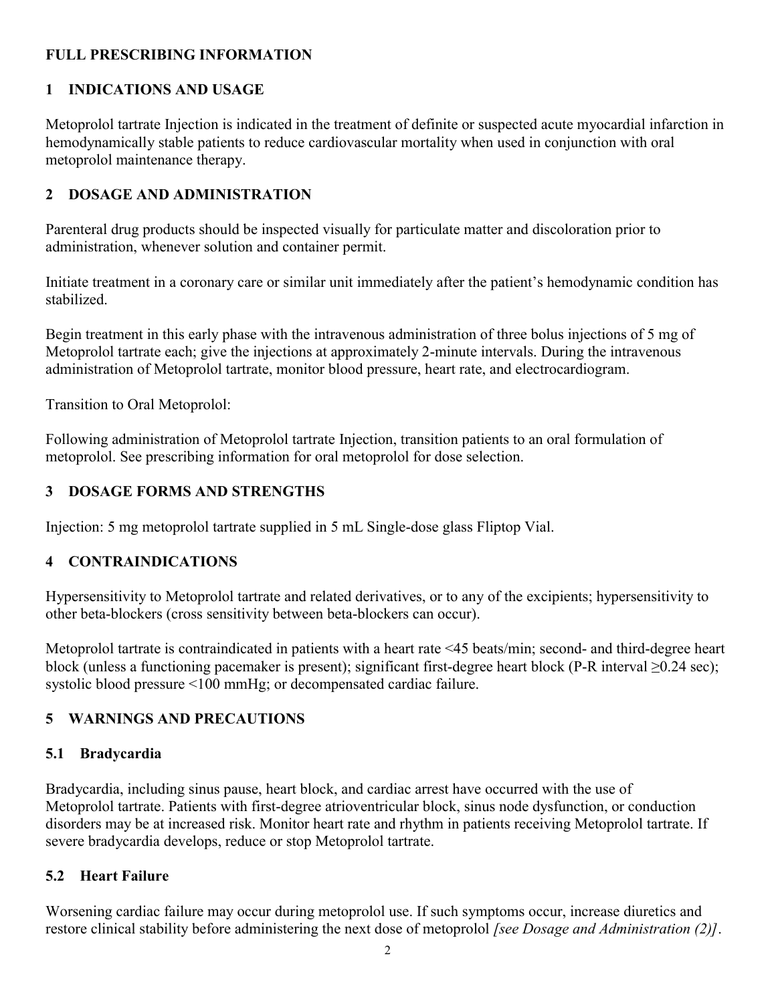## **FULL PRESCRIBING INFORMATION**

### **1 INDICATIONS AND USAGE**

Metoprolol tartrate Injection is indicated in the treatment of definite or suspected acute myocardial infarction in hemodynamically stable patients to reduce cardiovascular mortality when used in conjunction with oral metoprolol maintenance therapy.

## **2 DOSAGE AND ADMINISTRATION**

Parenteral drug products should be inspected visually for particulate matter and discoloration prior to administration, whenever solution and container permit.

Initiate treatment in a coronary care or similar unit immediately after the patient's hemodynamic condition has stabilized.

Begin treatment in this early phase with the intravenous administration of three bolus injections of 5 mg of Metoprolol tartrate each; give the injections at approximately 2-minute intervals. During the intravenous administration of Metoprolol tartrate, monitor blood pressure, heart rate, and electrocardiogram.

Transition to Oral Metoprolol:

Following administration of Metoprolol tartrate Injection, transition patients to an oral formulation of metoprolol. See prescribing information for oral metoprolol for dose selection.

## **3 DOSAGE FORMS AND STRENGTHS**

Injection: 5 mg metoprolol tartrate supplied in 5 mL Single-dose glass Fliptop Vial.

### **4 CONTRAINDICATIONS**

Hypersensitivity to Metoprolol tartrate and related derivatives, or to any of the excipients; hypersensitivity to other beta-blockers (cross sensitivity between beta-blockers can occur).

Metoprolol tartrate is contraindicated in patients with a heart rate <45 beats/min; second- and third-degree heart block (unless a functioning pacemaker is present); significant first-degree heart block (P-R interval ≥0.24 sec); systolic blood pressure <100 mmHg; or decompensated cardiac failure.

### **5 WARNINGS AND PRECAUTIONS**

### **5.1 Bradycardia**

Bradycardia, including sinus pause, heart block, and cardiac arrest have occurred with the use of Metoprolol tartrate. Patients with first-degree atrioventricular block, sinus node dysfunction, or conduction disorders may be at increased risk. Monitor heart rate and rhythm in patients receiving Metoprolol tartrate. If severe bradycardia develops, reduce or stop Metoprolol tartrate.

### **5.2 Heart Failure**

Worsening cardiac failure may occur during metoprolol use. If such symptoms occur, increase diuretics and restore clinical stability before administering the next dose of metoprolol *[see Dosage and Administration (2)]*.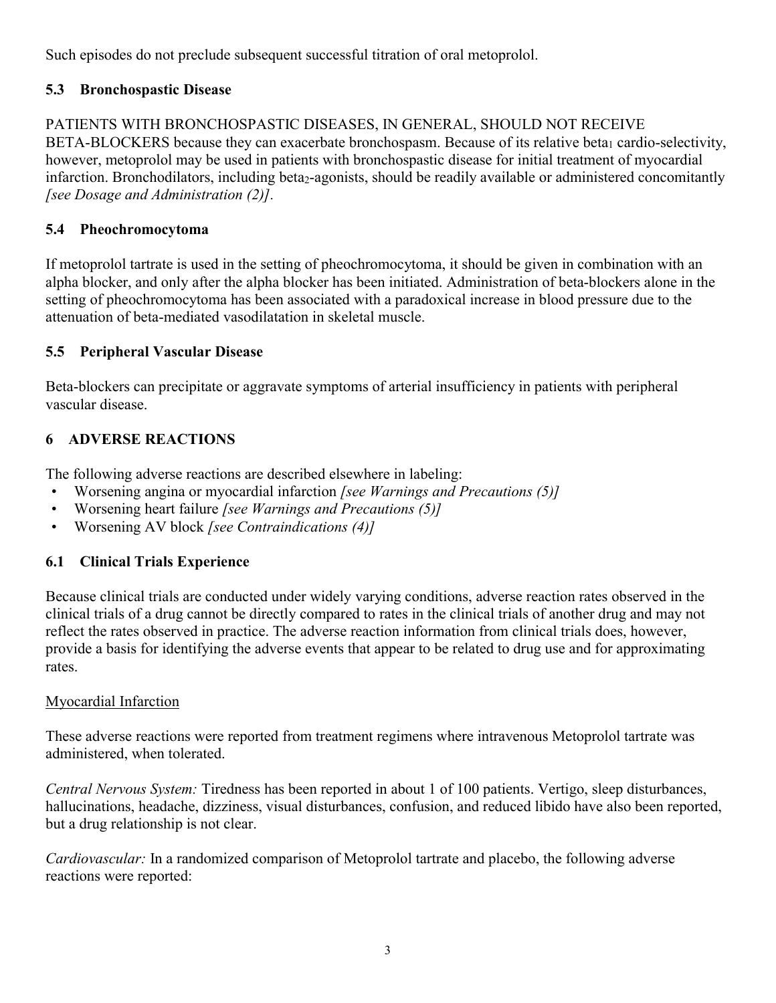Such episodes do not preclude subsequent successful titration of oral metoprolol.

# **5.3 Bronchospastic Disease**

#### PATIENTS WITH BRONCHOSPASTIC DISEASES, IN GENERAL, SHOULD NOT RECEIVE BETA-BLOCKERS because they can exacerbate bronchospasm. Because of its relative beta<sub>1</sub> cardio-selectivity, however, metoprolol may be used in patients with bronchospastic disease for initial treatment of myocardial infarction. Bronchodilators, including beta<sub>2</sub>-agonists, should be readily available or administered concomitantly *[see Dosage and Administration (2)].*

# **5.4 Pheochromocytoma**

If metoprolol tartrate is used in the setting of pheochromocytoma, it should be given in combination with an alpha blocker, and only after the alpha blocker has been initiated. Administration of beta-blockers alone in the setting of pheochromocytoma has been associated with a paradoxical increase in blood pressure due to the attenuation of beta-mediated vasodilatation in skeletal muscle.

# **5.5 Peripheral Vascular Disease**

Beta-blockers can precipitate or aggravate symptoms of arterial insufficiency in patients with peripheral vascular disease.

# **6 ADVERSE REACTIONS**

The following adverse reactions are described elsewhere in labeling:

- Worsening angina or myocardial infarction *[see Warnings and Precautions (5)]*
- Worsening heart failure *[see Warnings and Precautions (5)]*
- Worsening AV block *[see Contraindications (4)]*

# **6.1 Clinical Trials Experience**

Because clinical trials are conducted under widely varying conditions, adverse reaction rates observed in the clinical trials of a drug cannot be directly compared to rates in the clinical trials of another drug and may not reflect the rates observed in practice. The adverse reaction information from clinical trials does, however, provide a basis for identifying the adverse events that appear to be related to drug use and for approximating rates.

# Myocardial Infarction

These adverse reactions were reported from treatment regimens where intravenous Metoprolol tartrate was administered, when tolerated.

*Central Nervous System:* Tiredness has been reported in about 1 of 100 patients. Vertigo, sleep disturbances, hallucinations, headache, dizziness, visual disturbances, confusion, and reduced libido have also been reported, but a drug relationship is not clear.

*Cardiovascular:* In a randomized comparison of Metoprolol tartrate and placebo, the following adverse reactions were reported: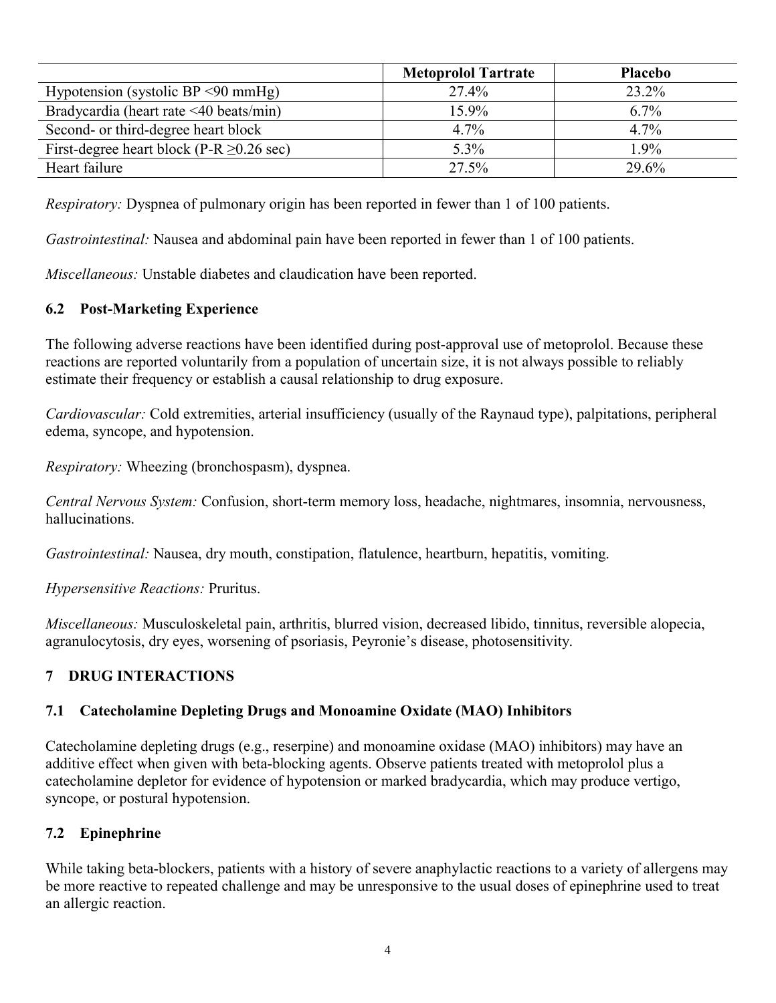|                                                | <b>Metoprolol Tartrate</b> | <b>Placebo</b> |
|------------------------------------------------|----------------------------|----------------|
| Hypotension (systolic BP $\leq 90$ mmHg)       | 27.4%                      | 23.2%          |
| Bradycardia (heart rate <40 beats/min)         | 15.9%                      | $6.7\%$        |
| Second- or third-degree heart block            | 4.7%                       | $4.7\%$        |
| First-degree heart block (P-R $\geq$ 0.26 sec) | 5.3%                       | 1.9%           |
| Heart failure                                  | 27.5%                      | 29.6%          |

*Respiratory:* Dyspnea of pulmonary origin has been reported in fewer than 1 of 100 patients.

*Gastrointestinal:* Nausea and abdominal pain have been reported in fewer than 1 of 100 patients.

*Miscellaneous:* Unstable diabetes and claudication have been reported.

### **6.2 Post-Marketing Experience**

The following adverse reactions have been identified during post-approval use of metoprolol. Because these reactions are reported voluntarily from a population of uncertain size, it is not always possible to reliably estimate their frequency or establish a causal relationship to drug exposure.

*Cardiovascular:* Cold extremities, arterial insufficiency (usually of the Raynaud type), palpitations, peripheral edema, syncope, and hypotension.

*Respiratory:* Wheezing (bronchospasm), dyspnea.

*Central Nervous System:* Confusion, short-term memory loss, headache, nightmares, insomnia, nervousness, hallucinations.

*Gastrointestinal:* Nausea, dry mouth, constipation, flatulence, heartburn, hepatitis, vomiting.

*Hypersensitive Reactions:* Pruritus.

*Miscellaneous:* Musculoskeletal pain, arthritis, blurred vision, decreased libido, tinnitus, reversible alopecia, agranulocytosis, dry eyes, worsening of psoriasis, Peyronie's disease, photosensitivity.

### **7 DRUG INTERACTIONS**

### **7.1 Catecholamine Depleting Drugs and Monoamine Oxidate (MAO) Inhibitors**

Catecholamine depleting drugs (e.g., reserpine) and monoamine oxidase (MAO) inhibitors) may have an additive effect when given with beta-blocking agents. Observe patients treated with metoprolol plus a catecholamine depletor for evidence of hypotension or marked bradycardia, which may produce vertigo, syncope, or postural hypotension.

### **7.2 Epinephrine**

While taking beta-blockers, patients with a history of severe anaphylactic reactions to a variety of allergens may be more reactive to repeated challenge and may be unresponsive to the usual doses of epinephrine used to treat an allergic reaction.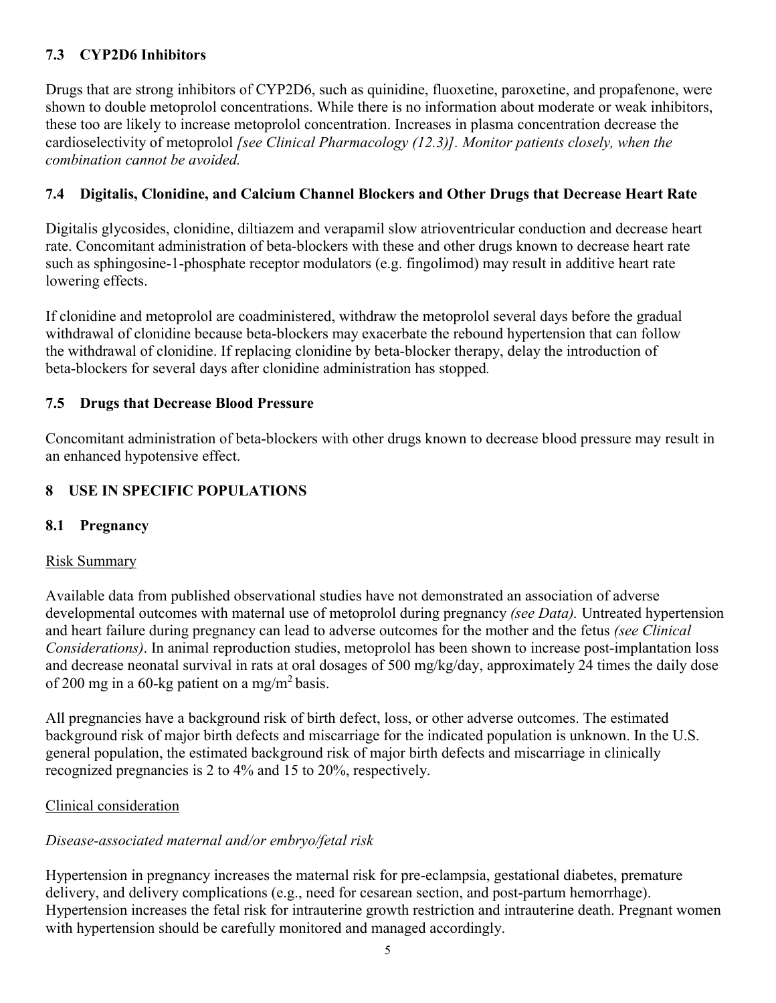# **7.3 CYP2D6 Inhibitors**

Drugs that are strong inhibitors of CYP2D6, such as quinidine, fluoxetine, paroxetine, and propafenone, were shown to double metoprolol concentrations. While there is no information about moderate or weak inhibitors, these too are likely to increase metoprolol concentration. Increases in plasma concentration decrease the cardioselectivity of metoprolol *[see Clinical Pharmacology (12.3)]. Monitor patients closely, when the combination cannot be avoided.* 

## **7.4 Digitalis, Clonidine, and Calcium Channel Blockers and Other Drugs that Decrease Heart Rate**

Digitalis glycosides, clonidine, diltiazem and verapamil slow atrioventricular conduction and decrease heart rate. Concomitant administration of beta-blockers with these and other drugs known to decrease heart rate such as sphingosine-1-phosphate receptor modulators (e.g. fingolimod) may result in additive heart rate lowering effects.

If clonidine and metoprolol are coadministered, withdraw the metoprolol several days before the gradual withdrawal of clonidine because beta-blockers may exacerbate the rebound hypertension that can follow the withdrawal of clonidine. If replacing clonidine by beta-blocker therapy, delay the introduction of beta-blockers for several days after clonidine administration has stopped*.*

## **7.5 Drugs that Decrease Blood Pressure**

Concomitant administration of beta-blockers with other drugs known to decrease blood pressure may result in an enhanced hypotensive effect.

# **8 USE IN SPECIFIC POPULATIONS**

### **8.1 Pregnancy**

### Risk Summary

Available data from published observational studies have not demonstrated an association of adverse developmental outcomes with maternal use of metoprolol during pregnancy *(see Data).* Untreated hypertension and heart failure during pregnancy can lead to adverse outcomes for the mother and the fetus *(see Clinical Considerations)*. In animal reproduction studies, metoprolol has been shown to increase post-implantation loss and decrease neonatal survival in rats at oral dosages of 500 mg/kg/day, approximately 24 times the daily dose of 200 mg in a 60-kg patient on a mg/m<sup>2</sup> basis.

All pregnancies have a background risk of birth defect, loss, or other adverse outcomes. The estimated background risk of major birth defects and miscarriage for the indicated population is unknown. In the U.S. general population, the estimated background risk of major birth defects and miscarriage in clinically recognized pregnancies is 2 to 4% and 15 to 20%, respectively.

### Clinical consideration

### *Disease-associated maternal and/or embryo/fetal risk*

Hypertension in pregnancy increases the maternal risk for pre-eclampsia, gestational diabetes, premature delivery, and delivery complications (e.g., need for cesarean section, and post-partum hemorrhage). Hypertension increases the fetal risk for intrauterine growth restriction and intrauterine death. Pregnant women with hypertension should be carefully monitored and managed accordingly.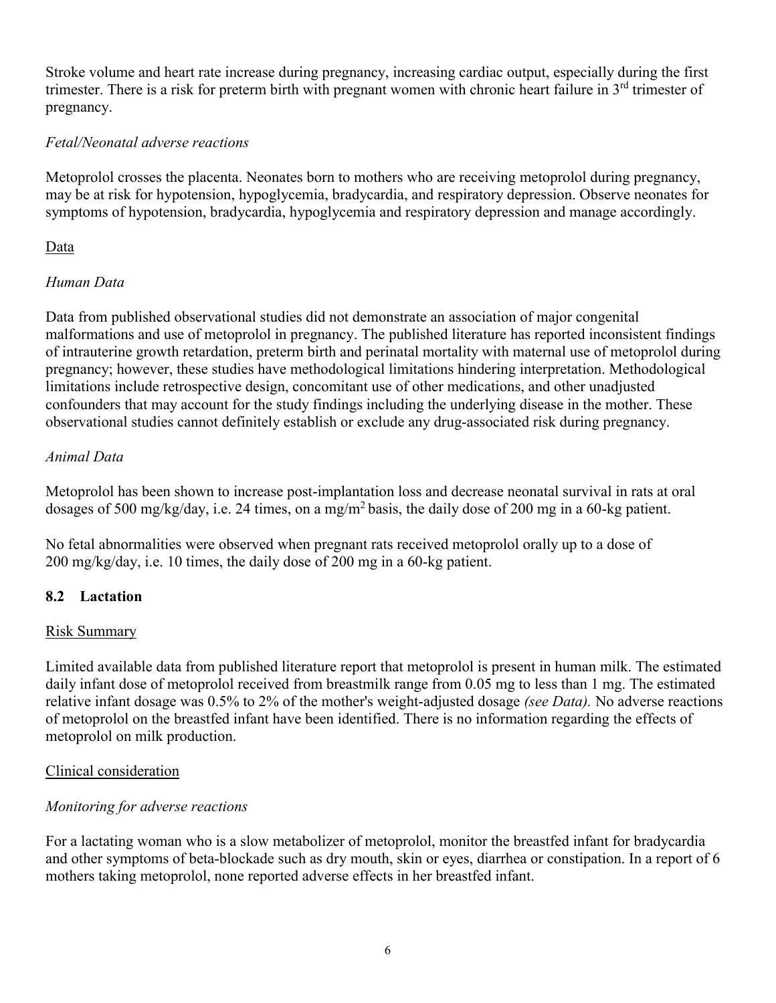Stroke volume and heart rate increase during pregnancy, increasing cardiac output, especially during the first trimester. There is a risk for preterm birth with pregnant women with chronic heart failure in 3<sup>rd</sup> trimester of pregnancy.

## *Fetal/Neonatal adverse reactions*

Metoprolol crosses the placenta. Neonates born to mothers who are receiving metoprolol during pregnancy, may be at risk for hypotension, hypoglycemia, bradycardia, and respiratory depression. Observe neonates for symptoms of hypotension, bradycardia, hypoglycemia and respiratory depression and manage accordingly.

### Data

## *Human Data*

Data from published observational studies did not demonstrate an association of major congenital malformations and use of metoprolol in pregnancy. The published literature has reported inconsistent findings of intrauterine growth retardation, preterm birth and perinatal mortality with maternal use of metoprolol during pregnancy; however, these studies have methodological limitations hindering interpretation. Methodological limitations include retrospective design, concomitant use of other medications, and other unadjusted confounders that may account for the study findings including the underlying disease in the mother. These observational studies cannot definitely establish or exclude any drug-associated risk during pregnancy.

## *Animal Data*

Metoprolol has been shown to increase post-implantation loss and decrease neonatal survival in rats at oral dosages of 500 mg/kg/day, i.e. 24 times, on a mg/m<sup>2</sup> basis, the daily dose of 200 mg in a 60-kg patient.

No fetal abnormalities were observed when pregnant rats received metoprolol orally up to a dose of 200 mg/kg/day, i.e. 10 times, the daily dose of 200 mg in a 60-kg patient.

# **8.2 Lactation**

### Risk Summary

Limited available data from published literature report that metoprolol is present in human milk. The estimated daily infant dose of metoprolol received from breastmilk range from 0.05 mg to less than 1 mg. The estimated relative infant dosage was 0.5% to 2% of the mother's weight-adjusted dosage *(see Data).* No adverse reactions of metoprolol on the breastfed infant have been identified. There is no information regarding the effects of metoprolol on milk production.

### Clinical consideration

### *Monitoring for adverse reactions*

For a lactating woman who is a slow metabolizer of metoprolol, monitor the breastfed infant for bradycardia and other symptoms of beta-blockade such as dry mouth, skin or eyes, diarrhea or constipation. In a report of 6 mothers taking metoprolol, none reported adverse effects in her breastfed infant.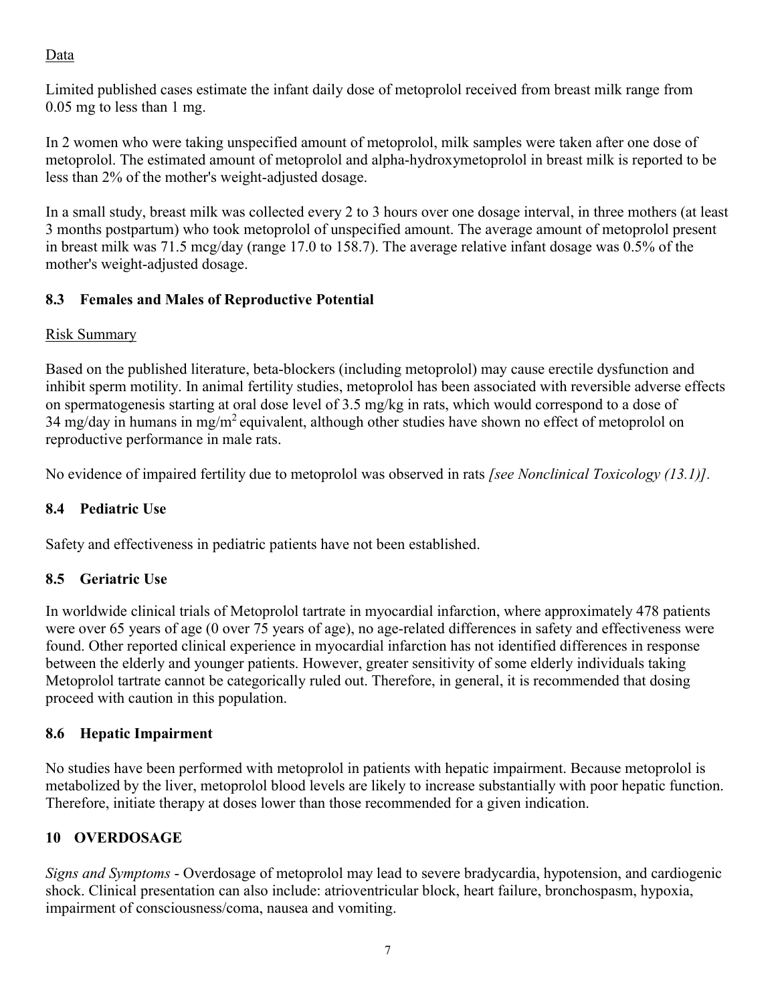# Data

Limited published cases estimate the infant daily dose of metoprolol received from breast milk range from 0.05 mg to less than 1 mg.

In 2 women who were taking unspecified amount of metoprolol, milk samples were taken after one dose of metoprolol. The estimated amount of metoprolol and alpha-hydroxymetoprolol in breast milk is reported to be less than 2% of the mother's weight-adjusted dosage.

In a small study, breast milk was collected every 2 to 3 hours over one dosage interval, in three mothers (at least 3 months postpartum) who took metoprolol of unspecified amount. The average amount of metoprolol present in breast milk was 71.5 mcg/day (range 17.0 to 158.7). The average relative infant dosage was 0.5% of the mother's weight-adjusted dosage.

# **8.3 Females and Males of Reproductive Potential**

# Risk Summary

Based on the published literature, beta-blockers (including metoprolol) may cause erectile dysfunction and inhibit sperm motility. In animal fertility studies, metoprolol has been associated with reversible adverse effects on spermatogenesis starting at oral dose level of 3.5 mg/kg in rats, which would correspond to a dose of 34 mg/day in humans in mg/m<sup>2</sup> equivalent, although other studies have shown no effect of metoprolol on reproductive performance in male rats.

No evidence of impaired fertility due to metoprolol was observed in rats *[see Nonclinical Toxicology (13.1)].*

# **8.4 Pediatric Use**

Safety and effectiveness in pediatric patients have not been established.

# **8.5 Geriatric Use**

In worldwide clinical trials of Metoprolol tartrate in myocardial infarction, where approximately 478 patients were over 65 years of age (0 over 75 years of age), no age-related differences in safety and effectiveness were found. Other reported clinical experience in myocardial infarction has not identified differences in response between the elderly and younger patients. However, greater sensitivity of some elderly individuals taking Metoprolol tartrate cannot be categorically ruled out. Therefore, in general, it is recommended that dosing proceed with caution in this population.

# **8.6 Hepatic Impairment**

No studies have been performed with metoprolol in patients with hepatic impairment. Because metoprolol is metabolized by the liver, metoprolol blood levels are likely to increase substantially with poor hepatic function. Therefore, initiate therapy at doses lower than those recommended for a given indication.

# **10 OVERDOSAGE**

*Signs and Symptoms* - Overdosage of metoprolol may lead to severe bradycardia, hypotension, and cardiogenic shock. Clinical presentation can also include: atrioventricular block, heart failure, bronchospasm, hypoxia, impairment of consciousness/coma, nausea and vomiting.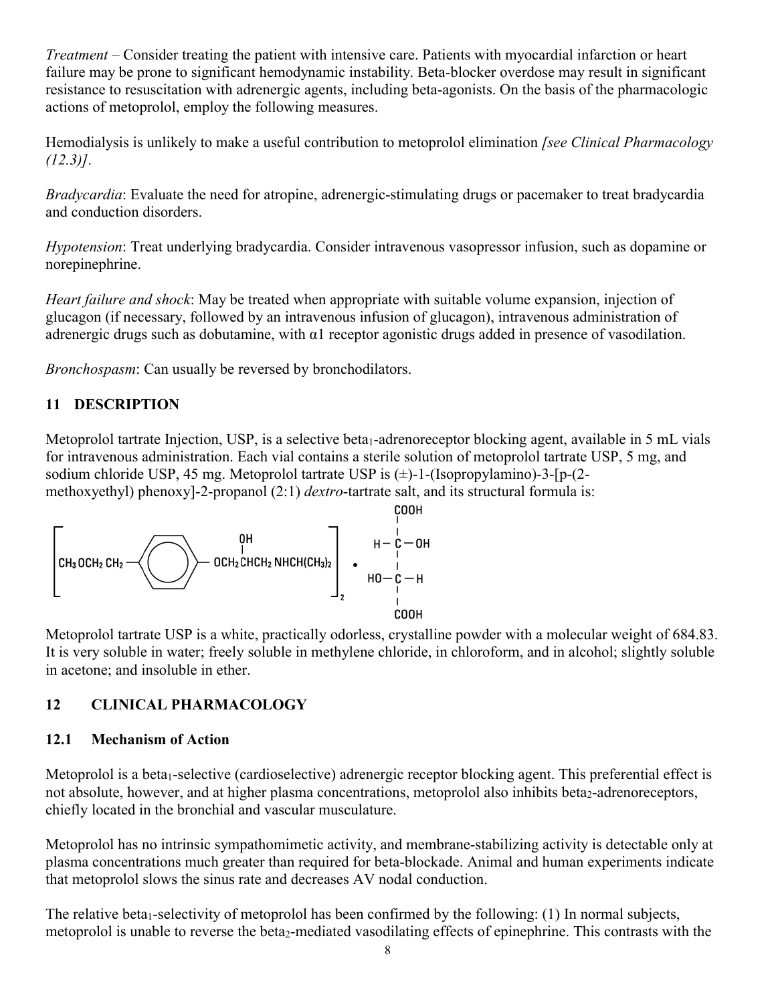*Treatment* – Consider treating the patient with intensive care. Patients with myocardial infarction or heart failure may be prone to significant hemodynamic instability. Beta-blocker overdose may result in significant resistance to resuscitation with adrenergic agents, including beta-agonists. On the basis of the pharmacologic actions of metoprolol, employ the following measures.

Hemodialysis is unlikely to make a useful contribution to metoprolol elimination *[see Clinical Pharmacology (12.3)].*

*Bradycardia*: Evaluate the need for atropine, adrenergic-stimulating drugs or pacemaker to treat bradycardia and conduction disorders.

*Hypotension*: Treat underlying bradycardia. Consider intravenous vasopressor infusion, such as dopamine or norepinephrine.

*Heart failure and shock*: May be treated when appropriate with suitable volume expansion, injection of glucagon (if necessary, followed by an intravenous infusion of glucagon), intravenous administration of adrenergic drugs such as dobutamine, with  $\alpha$ 1 receptor agonistic drugs added in presence of vasodilation.

*Bronchospasm*: Can usually be reversed by bronchodilators.

# **11 DESCRIPTION**

Metoprolol tartrate Injection, USP, is a selective beta<sub>1</sub>-adrenoreceptor blocking agent, available in 5 mL vials for intravenous administration. Each vial contains a sterile solution of metoprolol tartrate USP, 5 mg, and sodium chloride USP, 45 mg. Metoprolol tartrate USP is  $(\pm)$ -1-(Isopropylamino)-3-[p-(2methoxyethyl) phenoxy]-2-propanol (2:1) *dextro*-tartrate salt, and its structural formula is:



Metoprolol tartrate USP is a white, practically odorless, crystalline powder with a molecular weight of 684.83. It is very soluble in water; freely soluble in methylene chloride, in chloroform, and in alcohol; slightly soluble in acetone; and insoluble in ether.

# **12 CLINICAL PHARMACOLOGY**

### **12.1 Mechanism of Action**

Metoprolol is a beta<sub>1</sub>-selective (cardioselective) adrenergic receptor blocking agent. This preferential effect is not absolute, however, and at higher plasma concentrations, metoprolol also inhibits beta<sub>2</sub>-adrenoreceptors, chiefly located in the bronchial and vascular musculature.

Metoprolol has no intrinsic sympathomimetic activity, and membrane-stabilizing activity is detectable only at plasma concentrations much greater than required for beta-blockade. Animal and human experiments indicate that metoprolol slows the sinus rate and decreases AV nodal conduction.

The relative beta<sub>1</sub>-selectivity of metoprolol has been confirmed by the following:  $(1)$  In normal subjects, metoprolol is unable to reverse the beta<sub>2</sub>-mediated vasodilating effects of epinephrine. This contrasts with the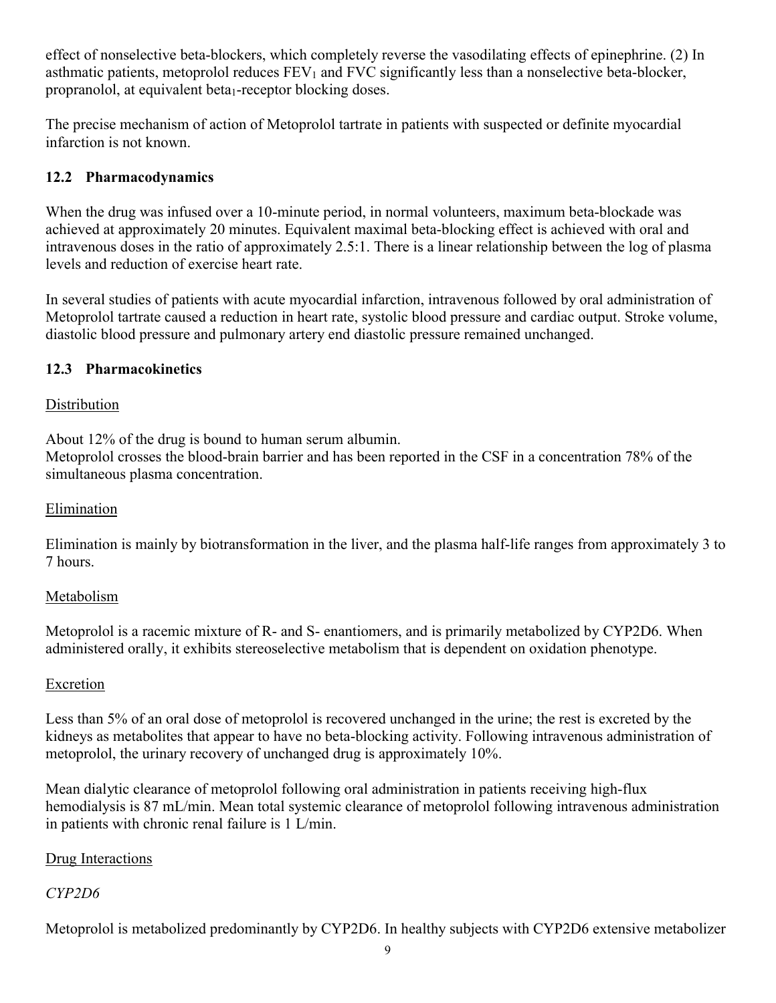effect of nonselective beta-blockers, which completely reverse the vasodilating effects of epinephrine. (2) In asthmatic patients, metoprolol reduces  $FEV<sub>1</sub>$  and  $FVC$  significantly less than a nonselective beta-blocker, propranolol, at equivalent beta<sub>1</sub>-receptor blocking doses.

The precise mechanism of action of Metoprolol tartrate in patients with suspected or definite myocardial infarction is not known.

# **12.2 Pharmacodynamics**

When the drug was infused over a 10-minute period, in normal volunteers, maximum beta-blockade was achieved at approximately 20 minutes. Equivalent maximal beta-blocking effect is achieved with oral and intravenous doses in the ratio of approximately 2.5:1. There is a linear relationship between the log of plasma levels and reduction of exercise heart rate.

In several studies of patients with acute myocardial infarction, intravenous followed by oral administration of Metoprolol tartrate caused a reduction in heart rate, systolic blood pressure and cardiac output. Stroke volume, diastolic blood pressure and pulmonary artery end diastolic pressure remained unchanged.

# **12.3 Pharmacokinetics**

# **Distribution**

About 12% of the drug is bound to human serum albumin.

Metoprolol crosses the blood-brain barrier and has been reported in the CSF in a concentration 78% of the simultaneous plasma concentration.

# Elimination

Elimination is mainly by biotransformation in the liver, and the plasma half-life ranges from approximately 3 to 7 hours.

# Metabolism

Metoprolol is a racemic mixture of R- and S- enantiomers, and is primarily metabolized by CYP2D6. When administered orally, it exhibits stereoselective metabolism that is dependent on oxidation phenotype.

# Excretion

Less than 5% of an oral dose of metoprolol is recovered unchanged in the urine; the rest is excreted by the kidneys as metabolites that appear to have no beta-blocking activity. Following intravenous administration of metoprolol, the urinary recovery of unchanged drug is approximately 10%.

Mean dialytic clearance of metoprolol following oral administration in patients receiving high-flux hemodialysis is 87 mL/min. Mean total systemic clearance of metoprolol following intravenous administration in patients with chronic renal failure is 1 L/min.

# Drug Interactions

# *CYP2D6*

Metoprolol is metabolized predominantly by CYP2D6. In healthy subjects with CYP2D6 extensive metabolizer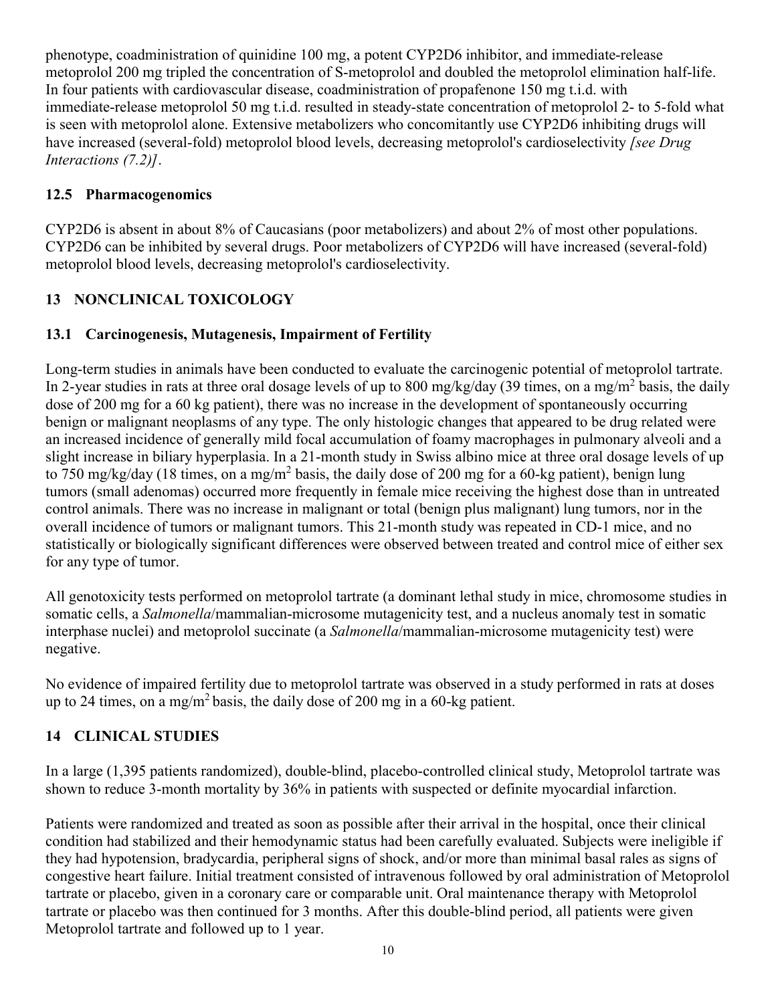phenotype, coadministration of quinidine 100 mg, a potent CYP2D6 inhibitor, and immediate-release metoprolol 200 mg tripled the concentration of S-metoprolol and doubled the metoprolol elimination half-life. In four patients with cardiovascular disease, coadministration of propafenone 150 mg t.i.d. with immediate-release metoprolol 50 mg t.i.d. resulted in steady-state concentration of metoprolol 2- to 5-fold what is seen with metoprolol alone. Extensive metabolizers who concomitantly use CYP2D6 inhibiting drugs will have increased (several-fold) metoprolol blood levels, decreasing metoprolol's cardioselectivity *[see Drug Interactions (7.2)]*.

# **12.5 Pharmacogenomics**

CYP2D6 is absent in about 8% of Caucasians (poor metabolizers) and about 2% of most other populations. CYP2D6 can be inhibited by several drugs. Poor metabolizers of CYP2D6 will have increased (several-fold) metoprolol blood levels, decreasing metoprolol's cardioselectivity.

# **13 NONCLINICAL TOXICOLOGY**

# **13.1 Carcinogenesis, Mutagenesis, Impairment of Fertility**

Long-term studies in animals have been conducted to evaluate the carcinogenic potential of metoprolol tartrate. In 2-year studies in rats at three oral dosage levels of up to 800 mg/kg/day (39 times, on a mg/m<sup>2</sup> basis, the daily dose of 200 mg for a 60 kg patient), there was no increase in the development of spontaneously occurring benign or malignant neoplasms of any type. The only histologic changes that appeared to be drug related were an increased incidence of generally mild focal accumulation of foamy macrophages in pulmonary alveoli and a slight increase in biliary hyperplasia. In a 21-month study in Swiss albino mice at three oral dosage levels of up to 750 mg/kg/day (18 times, on a mg/m<sup>2</sup> basis, the daily dose of 200 mg for a 60-kg patient), benign lung tumors (small adenomas) occurred more frequently in female mice receiving the highest dose than in untreated control animals. There was no increase in malignant or total (benign plus malignant) lung tumors, nor in the overall incidence of tumors or malignant tumors. This 21-month study was repeated in CD-1 mice, and no statistically or biologically significant differences were observed between treated and control mice of either sex for any type of tumor.

All genotoxicity tests performed on metoprolol tartrate (a dominant lethal study in mice, chromosome studies in somatic cells, a *Salmonella*/mammalian-microsome mutagenicity test, and a nucleus anomaly test in somatic interphase nuclei) and metoprolol succinate (a *Salmonella*/mammalian-microsome mutagenicity test) were negative.

No evidence of impaired fertility due to metoprolol tartrate was observed in a study performed in rats at doses up to 24 times, on a mg/m<sup>2</sup> basis, the daily dose of 200 mg in a 60-kg patient.

# **14 CLINICAL STUDIES**

In a large (1,395 patients randomized), double-blind, placebo-controlled clinical study, Metoprolol tartrate was shown to reduce 3-month mortality by 36% in patients with suspected or definite myocardial infarction.

Patients were randomized and treated as soon as possible after their arrival in the hospital, once their clinical condition had stabilized and their hemodynamic status had been carefully evaluated. Subjects were ineligible if they had hypotension, bradycardia, peripheral signs of shock, and/or more than minimal basal rales as signs of congestive heart failure. Initial treatment consisted of intravenous followed by oral administration of Metoprolol tartrate or placebo, given in a coronary care or comparable unit. Oral maintenance therapy with Metoprolol tartrate or placebo was then continued for 3 months. After this double-blind period, all patients were given Metoprolol tartrate and followed up to 1 year.